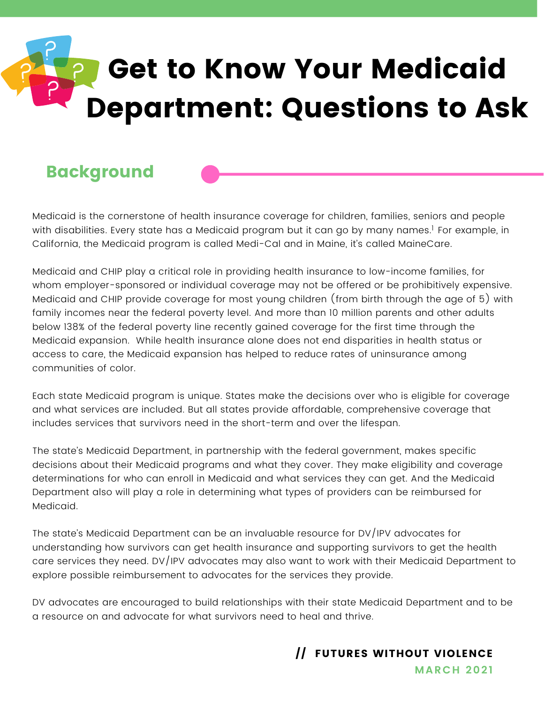# Get to Know Your Medicaid Department: Questions to Ask

#### **Background**

Medicaid is the cornerstone of health insurance coverage for children, families, seniors and people with disabilities. Every state has a Medicaid program but it can go by many names.' For example, in California, the Medicaid program is called Medi-Cal and in Maine, it's called MaineCare.

Medicaid and CHIP play a critical role in providing health insurance to low-income families, for whom employer-sponsored or individual coverage may not be offered or be prohibitively expensive. Medicaid and CHIP provide coverage for most young children (from birth through the age of 5) with family incomes near the federal poverty level. And more than 10 million parents and other adults below 138% of the federal poverty line recently gained coverage for the first time through the Medicaid expansion. While health insurance alone does not end disparities in health status or access to care, the Medicaid expansion has helped to reduce rates of uninsurance among communities of color.

Each state Medicaid program is unique. States make the decisions over who is eligible for coverage and what services are included. But all states provide affordable, comprehensive coverage that includes services that survivors need in the short-term and over the lifespan.

The state's Medicaid Department, in partnership with the federal government, makes specific decisions about their Medicaid programs and what they cover. They make eligibility and coverage determinations for who can enroll in Medicaid and what services they can get. And the Medicaid Department also will play a role in determining what types of providers can be reimbursed for Medicaid.

The state's Medicaid Department can be an invaluable resource for DV/IPV advocates for understanding how survivors can get health insurance and supporting survivors to get the health care services they need. DV/IPV advocates may also want to work with their Medicaid Department to explore possible reimbursement to advocates for the services they provide.

DV advocates are encouraged to build relationships with their state Medicaid Department and to be a resource on and advocate for what survivors need to heal and thrive.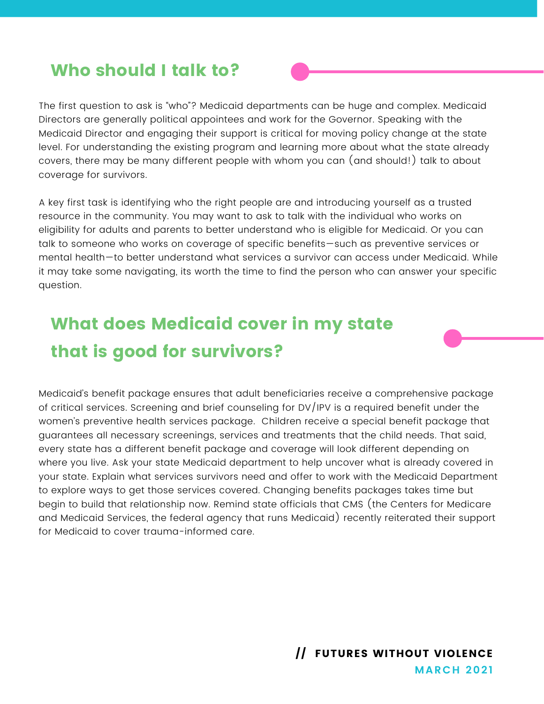#### Who should I talk to?

The first question to ask is "who"? Medicaid departments can be huge and complex. Medicaid Directors are generally political appointees and work for the Governor. Speaking with the Medicaid Director and engaging their support is critical for moving policy change at the state level. For understanding the existing program and learning more about what the state already covers, there may be many different people with whom you can (and should!) talk to about coverage for survivors.

A key first task is identifying who the right people are and introducing yourself as a trusted resource in the community. You may want to ask to talk with the individual who works on eligibility for adults and parents to better understand who is eligible for Medicaid. Or you can talk to someone who works on coverage of specific benefits—such as preventive services or mental health—to better understand what services a survivor can access under Medicaid. While it may take some navigating, its worth the time to find the person who can answer your specific question.

#### What does Medicaid cover in my state that is good for survivors?

Medicaid's benefit package ensures that adult beneficiaries receive a comprehensive package of critical services. Screening and brief counseling for DV/IPV is a required benefit under the women's preventive health services package. Children receive a special benefit package that guarantees all necessary screenings, services and treatments that the child needs. That said, every state has a different benefit package and coverage will look different depending on where you live. Ask your state Medicaid department to help uncover what is already covered in your state. Explain what services survivors need and offer to work with the Medicaid Department to explore ways to get those services covered. Changing benefits packages takes time but begin to build that relationship now. Remind state officials that CMS (the Centers for Medicare and Medicaid Services, the federal agency that runs Medicaid) recently reiterated their support for Medicaid to cover trauma-informed care.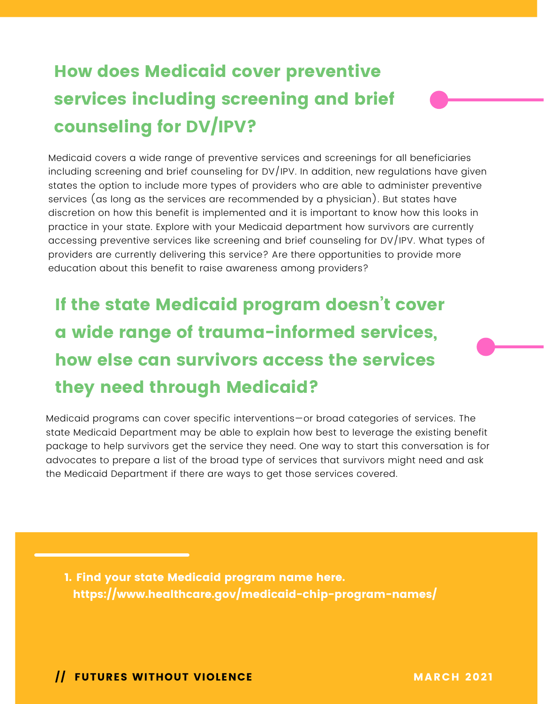#### How does Medicaid cover preventive services including screening and brief counseling for DV/IPV?

Medicaid covers a wide range of preventive services and screenings for all beneficiaries including screening and brief counseling for DV/IPV. In addition, new regulations have given states the option to include more types of providers who are able to administer preventive services (as long as the services are recommended by a physician). But states have discretion on how this benefit is implemented and it is important to know how this looks in practice in your state. Explore with your Medicaid department how survivors are currently accessing preventive services like screening and brief counseling for DV/IPV. What types of providers are currently delivering this service? Are there opportunities to provide more education about this benefit to raise awareness among providers?

## If the state Medicaid program doesn't cover a wide range of trauma-informed services, how else can survivors access the services they need through Medicaid?

Medicaid programs can cover specific interventions—or broad categories of services. The state Medicaid Department may be able to explain how best to leverage the existing benefit package to help survivors get the service they need. One way to start this conversation is for advocates to prepare a list of the broad type of services that survivors might need and ask the Medicaid Department if there are ways to get those services covered.

1. Find your state Medicaid program name here. https://www.healthcare.gov/medicaid-chip-program-names/

**Solution International March 2021** MARCH 2021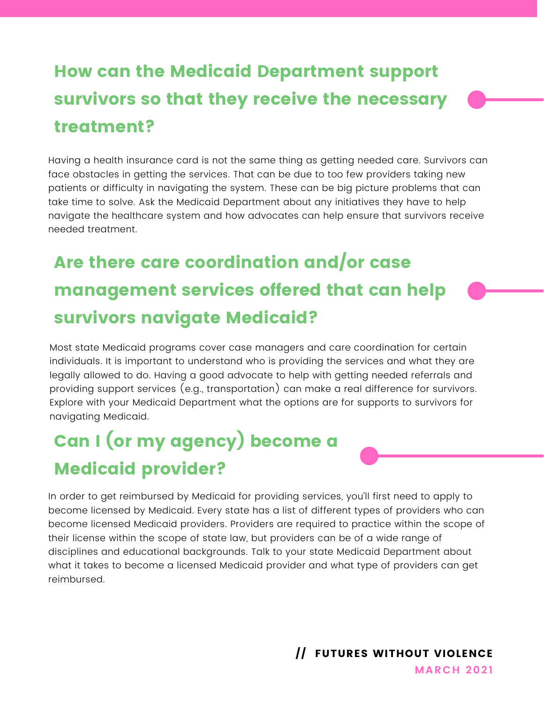### How can the Medicaid Department support survivors so that they receive the necessary treatment?

Having a health insurance card is not the same thing as getting needed care. Survivors can face obstacles in getting the services. That can be due to too few providers taking new patients or difficulty in navigating the system. These can be big picture problems that can take time to solve. Ask the Medicaid Department about any initiatives they have to help navigate the healthcare system and how advocates can help ensure that survivors receive needed treatment.

### Are there care coordination and/or case management services offered that can help survivors navigate Medicaid?

Most state Medicaid programs cover case managers and care coordination for certain individuals. It is important to understand who is providing the services and what they are legally allowed to do. Having a good advocate to help with getting needed referrals and providing support services (e.g., transportation) can make a real difference for survivors. Explore with your Medicaid Department what the options are for supports to survivors for navigating Medicaid.

## Can I (or my agency) become a Medicaid provider?

In order to get reimbursed by Medicaid for providing services, you'll first need to apply to become licensed by Medicaid. Every state has a list of different types of providers who can become licensed Medicaid providers. Providers are required to practice within the scope of their license within the scope of state law, but providers can be of a wide range of disciplines and educational backgrounds. Talk to your state Medicaid Department about what it takes to become a licensed Medicaid provider and what type of providers can get reimbursed.